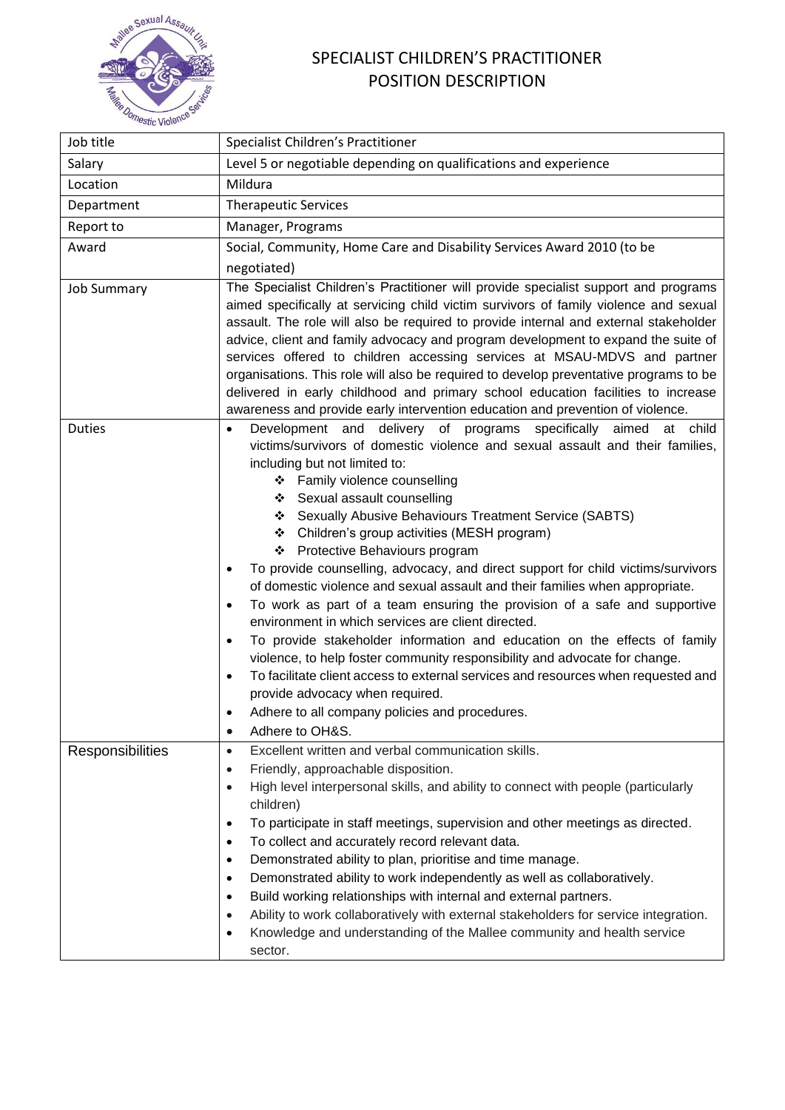

## SPECIALIST CHILDREN'S PRACTITIONER POSITION DESCRIPTION

| Job title          | Specialist Children's Practitioner                                                                                                                                                                                                                                                                                                                                                                                                                                                                                                                                                                                                                                                                                                                                                                                                                                                                                                                                                                                                                                                                                                        |
|--------------------|-------------------------------------------------------------------------------------------------------------------------------------------------------------------------------------------------------------------------------------------------------------------------------------------------------------------------------------------------------------------------------------------------------------------------------------------------------------------------------------------------------------------------------------------------------------------------------------------------------------------------------------------------------------------------------------------------------------------------------------------------------------------------------------------------------------------------------------------------------------------------------------------------------------------------------------------------------------------------------------------------------------------------------------------------------------------------------------------------------------------------------------------|
| Salary             | Level 5 or negotiable depending on qualifications and experience                                                                                                                                                                                                                                                                                                                                                                                                                                                                                                                                                                                                                                                                                                                                                                                                                                                                                                                                                                                                                                                                          |
| Location           | Mildura                                                                                                                                                                                                                                                                                                                                                                                                                                                                                                                                                                                                                                                                                                                                                                                                                                                                                                                                                                                                                                                                                                                                   |
| Department         | <b>Therapeutic Services</b>                                                                                                                                                                                                                                                                                                                                                                                                                                                                                                                                                                                                                                                                                                                                                                                                                                                                                                                                                                                                                                                                                                               |
| Report to          | Manager, Programs                                                                                                                                                                                                                                                                                                                                                                                                                                                                                                                                                                                                                                                                                                                                                                                                                                                                                                                                                                                                                                                                                                                         |
| Award              | Social, Community, Home Care and Disability Services Award 2010 (to be                                                                                                                                                                                                                                                                                                                                                                                                                                                                                                                                                                                                                                                                                                                                                                                                                                                                                                                                                                                                                                                                    |
|                    | negotiated)                                                                                                                                                                                                                                                                                                                                                                                                                                                                                                                                                                                                                                                                                                                                                                                                                                                                                                                                                                                                                                                                                                                               |
| <b>Job Summary</b> | The Specialist Children's Practitioner will provide specialist support and programs<br>aimed specifically at servicing child victim survivors of family violence and sexual<br>assault. The role will also be required to provide internal and external stakeholder<br>advice, client and family advocacy and program development to expand the suite of<br>services offered to children accessing services at MSAU-MDVS and partner<br>organisations. This role will also be required to develop preventative programs to be<br>delivered in early childhood and primary school education facilities to increase<br>awareness and provide early intervention education and prevention of violence.                                                                                                                                                                                                                                                                                                                                                                                                                                       |
| <b>Duties</b>      | Development and delivery of programs specifically aimed at child<br>$\bullet$<br>victims/survivors of domestic violence and sexual assault and their families,<br>including but not limited to:<br>Family violence counselling<br>❖<br>Sexual assault counselling<br>❖<br>❖ Sexually Abusive Behaviours Treatment Service (SABTS)<br>❖ Children's group activities (MESH program)<br>❖ Protective Behaviours program<br>To provide counselling, advocacy, and direct support for child victims/survivors<br>٠<br>of domestic violence and sexual assault and their families when appropriate.<br>To work as part of a team ensuring the provision of a safe and supportive<br>٠<br>environment in which services are client directed.<br>To provide stakeholder information and education on the effects of family<br>٠<br>violence, to help foster community responsibility and advocate for change.<br>To facilitate client access to external services and resources when requested and<br>$\bullet$<br>provide advocacy when required.<br>Adhere to all company policies and procedures.<br>$\bullet$<br>Adhere to OH&S.<br>$\bullet$ |
| Responsibilities   | Excellent written and verbal communication skills.<br>$\bullet$                                                                                                                                                                                                                                                                                                                                                                                                                                                                                                                                                                                                                                                                                                                                                                                                                                                                                                                                                                                                                                                                           |
|                    | Friendly, approachable disposition.<br>$\bullet$<br>High level interpersonal skills, and ability to connect with people (particularly<br>$\bullet$<br>children)<br>To participate in staff meetings, supervision and other meetings as directed.<br>$\bullet$<br>To collect and accurately record relevant data.<br>$\bullet$<br>Demonstrated ability to plan, prioritise and time manage.<br>٠<br>Demonstrated ability to work independently as well as collaboratively.<br>$\bullet$<br>Build working relationships with internal and external partners.<br>$\bullet$<br>Ability to work collaboratively with external stakeholders for service integration.<br>$\bullet$<br>Knowledge and understanding of the Mallee community and health service<br>٠<br>sector.                                                                                                                                                                                                                                                                                                                                                                     |